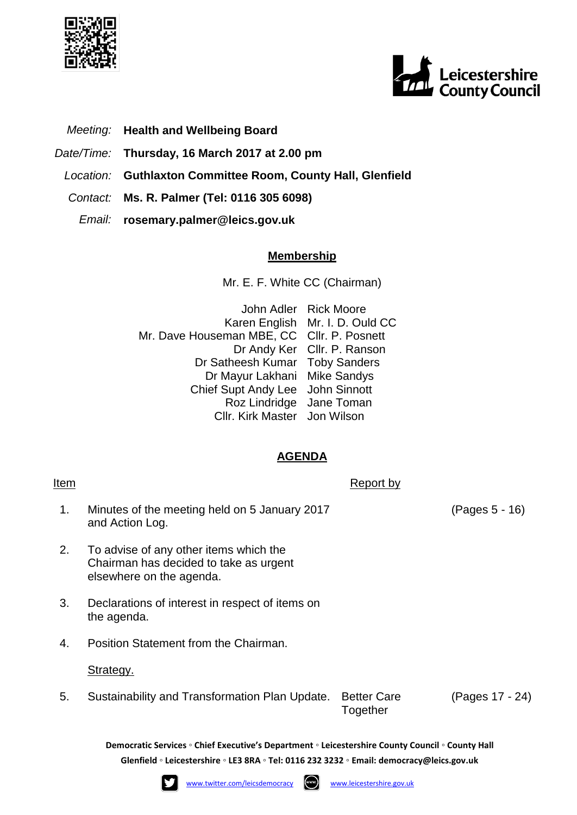



- *Meeting:* **Health and Wellbeing Board**
- *Date/Time:* **Thursday, 16 March 2017 at 2.00 pm**
- *Location:* **Guthlaxton Committee Room, County Hall, Glenfield**
- *Contact:* **Ms. R. Palmer (Tel: 0116 305 6098)**
	- *Email:* **rosemary.palmer@leics.gov.uk**

## **Membership**

Mr. E. F. White CC (Chairman)

John Adler Rick Moore Karen English Mr. I. D. Ould CC Mr. Dave Houseman MBE, CC Cllr. P. Posnett Dr Andy Ker Cllr. P. Ranson Dr Satheesh Kumar Toby Sanders Dr Mayur Lakhani Mike Sandys Chief Supt Andy Lee John Sinnott Roz Lindridge Jane Toman Cllr. Kirk Master Jon Wilson

## **AGENDA**

1. Minutes of the meeting held on 5 January 2017 and Action Log.

Item Report by the Report by the Report by  $\mathsf{Report}\ \mathsf{by}$ 

- 2. To advise of any other items which the Chairman has decided to take as urgent elsewhere on the agenda.
- 3. Declarations of interest in respect of items on the agenda.
- 4. Position Statement from the Chairman.

Strategy.

5. Sustainability and Transformation Plan Update. Better Care

Together

(Pages 17 - 24)

**Democratic Services ◦ Chief Executive's Department ◦ Leicestershire County Council ◦ County Hall Glenfield ◦ Leicestershire ◦ LE3 8RA ◦ Tel: 0116 232 3232 ◦ Email: [democracy@leics.gov.uk](mailto:democracy@leics.gov.uk)**





(Pages 5 - 16)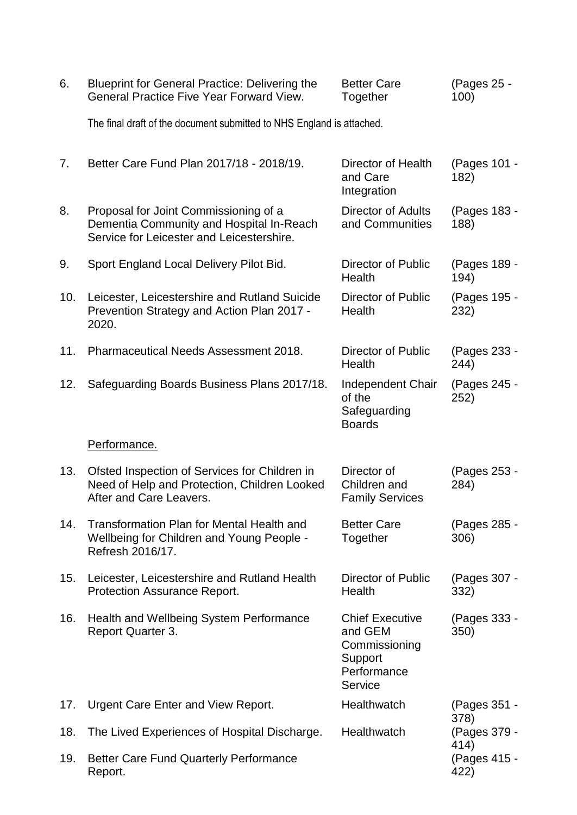| 6.  | <b>Blueprint for General Practice: Delivering the</b><br><b>General Practice Five Year Forward View.</b>                       | <b>Better Care</b><br>Together                                                          | (Pages 25 -<br>100)  |
|-----|--------------------------------------------------------------------------------------------------------------------------------|-----------------------------------------------------------------------------------------|----------------------|
|     | The final draft of the document submitted to NHS England is attached.                                                          |                                                                                         |                      |
| 7.  | Better Care Fund Plan 2017/18 - 2018/19.                                                                                       | Director of Health<br>and Care<br>Integration                                           | (Pages 101 -<br>182) |
| 8.  | Proposal for Joint Commissioning of a<br>Dementia Community and Hospital In-Reach<br>Service for Leicester and Leicestershire. | <b>Director of Adults</b><br>and Communities                                            | (Pages 183 -<br>188) |
| 9.  | Sport England Local Delivery Pilot Bid.                                                                                        | <b>Director of Public</b><br>Health                                                     | (Pages 189 -<br>194) |
| 10. | Leicester, Leicestershire and Rutland Suicide<br>Prevention Strategy and Action Plan 2017 -<br>2020.                           | Director of Public<br>Health                                                            | (Pages 195 -<br>232) |
| 11. | <b>Pharmaceutical Needs Assessment 2018.</b>                                                                                   | Director of Public<br>Health                                                            | (Pages 233 -<br>244) |
| 12. | Safeguarding Boards Business Plans 2017/18.                                                                                    | Independent Chair<br>of the<br>Safeguarding<br><b>Boards</b>                            | (Pages 245 -<br>252) |
|     | Performance.                                                                                                                   |                                                                                         |                      |
| 13. | Ofsted Inspection of Services for Children in<br>Need of Help and Protection, Children Looked<br>After and Care Leavers.       | Director of<br>Children and<br><b>Family Services</b>                                   | (Pages 253 -<br>284) |
| 14. | Transformation Plan for Mental Health and<br>Wellbeing for Children and Young People -<br>Refresh 2016/17.                     | <b>Better Care</b><br>Together                                                          | (Pages 285 -<br>306) |
| 15. | Leicester, Leicestershire and Rutland Health<br>Protection Assurance Report.                                                   | <b>Director of Public</b><br>Health                                                     | (Pages 307 -<br>332) |
| 16. | Health and Wellbeing System Performance<br>Report Quarter 3.                                                                   | <b>Chief Executive</b><br>and GEM<br>Commissioning<br>Support<br>Performance<br>Service | (Pages 333 -<br>350) |
| 17. | Urgent Care Enter and View Report.                                                                                             | Healthwatch                                                                             | (Pages 351 -<br>378) |
| 18. | The Lived Experiences of Hospital Discharge.                                                                                   | Healthwatch                                                                             | (Pages 379 -<br>414) |
| 19. | <b>Better Care Fund Quarterly Performance</b><br>Report.                                                                       |                                                                                         | (Pages 415 -<br>422) |